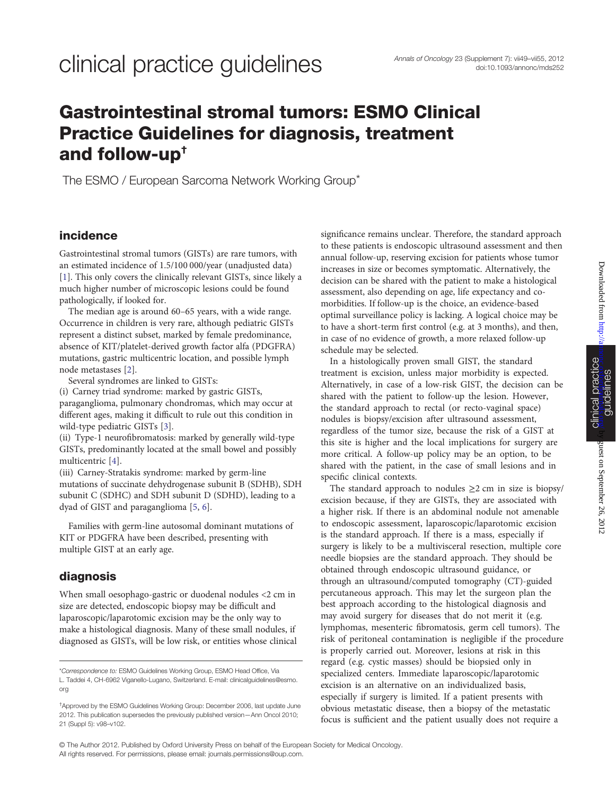## clinical practice guidelines Annals of Oncology 23 (Supplement 7): vii49-vii55, 2012

## Gastrointestinal stromal tumors: ESMO Clinical Practice Guidelines for diagnosis, treatment and follow-up†

The ESMO / European Sarcoma Network Working Group\*

### incidence

Gastrointestinal stromal tumors (GISTs) are rare tumors, with an estimated incidence of 1.5/100 000/year (unadjusted data) [\[1\]](#page-5-0). This only covers the clinically relevant GISTs, since likely a much higher number of microscopic lesions could be found pathologically, if looked for.

The median age is around 60–65 years, with a wide range. Occurrence in children is very rare, although pediatric GISTs represent a distinct subset, marked by female predominance, absence of KIT/platelet-derived growth factor alfa (PDGFRA) mutations, gastric multicentric location, and possible lymph node metastases [\[2\]](#page-5-0).

Several syndromes are linked to GISTs:

(i) Carney triad syndrome: marked by gastric GISTs, paraganglioma, pulmonary chondromas, which may occur at different ages, making it difficult to rule out this condition in wild-type pediatric GISTs [[3](#page-5-0)].

(ii) Type-1 neurofibromatosis: marked by generally wild-type GISTs, predominantly located at the small bowel and possibly multicentric [\[4\]](#page-5-0).

(iii) Carney-Stratakis syndrome: marked by germ-line mutations of succinate dehydrogenase subunit B (SDHB), SDH subunit C (SDHC) and SDH subunit D (SDHD), leading to a dyad of GIST and paraganglioma [[5](#page-5-0), [6\]](#page-5-0).

Families with germ-line autosomal dominant mutations of KIT or PDGFRA have been described, presenting with multiple GIST at an early age.

#### diagnosis

When small oesophago-gastric or duodenal nodules <2 cm in size are detected, endoscopic biopsy may be difficult and laparoscopic/laparotomic excision may be the only way to make a histological diagnosis. Many of these small nodules, if diagnosed as GISTs, will be low risk, or entities whose clinical significance remains unclear. Therefore, the standard approach to these patients is endoscopic ultrasound assessment and then annual follow-up, reserving excision for patients whose tumor increases in size or becomes symptomatic. Alternatively, the decision can be shared with the patient to make a histological assessment, also depending on age, life expectancy and comorbidities. If follow-up is the choice, an evidence-based optimal surveillance policy is lacking. A logical choice may be to have a short-term first control (e.g. at 3 months), and then, in case of no evidence of growth, a more relaxed follow-up schedule may be selected.

In a histologically proven small GIST, the standard treatment is excision, unless major morbidity is expected. Alternatively, in case of a low-risk GIST, the decision can be shared with the patient to follow-up the lesion. However, the standard approach to rectal (or recto-vaginal space) nodules is biopsy/excision after ultrasound assessment, regardless of the tumor size, because the risk of a GIST at this site is higher and the local implications for surgery are more critical. A follow-up policy may be an option, to be shared with the patient, in the case of small lesions and in specific clinical contexts.

The standard approach to nodules  $\geq$ 2 cm in size is biopsy/ excision because, if they are GISTs, they are associated with a higher risk. If there is an abdominal nodule not amenable to endoscopic assessment, laparoscopic/laparotomic excision is the standard approach. If there is a mass, especially if surgery is likely to be a multivisceral resection, multiple core needle biopsies are the standard approach. They should be obtained through endoscopic ultrasound guidance, or through an ultrasound/computed tomography (CT)-guided percutaneous approach. This may let the surgeon plan the best approach according to the histological diagnosis and may avoid surgery for diseases that do not merit it (e.g. lymphomas, mesenteric fibromatosis, germ cell tumors). The risk of peritoneal contamination is negligible if the procedure is properly carried out. Moreover, lesions at risk in this regard (e.g. cystic masses) should be biopsied only in specialized centers. Immediate laparoscopic/laparotomic excision is an alternative on an individualized basis, especially if surgery is limited. If a patient presents with obvious metastatic disease, then a biopsy of the metastatic focus is sufficient and the patient usually does not require a

© The Author 2012. Published by Oxford University Press on behalf of the European Society for Medical Oncology. All rights reserved. For permissions, please email: journals.permissions@oup.com.

<sup>\*</sup>Correspondence to: ESMO Guidelines Working Group, ESMO Head Office, Via L. Taddei 4, CH-6962 Viganello-Lugano, Switzerland. E-mail: clinicalguidelines@esmo. org

<sup>†</sup> Approved by the ESMO Guidelines Working Group: December 2006, last update June 2012. This publication supersedes the previously published version—Ann Oncol 2010; 21 (Suppl 5): v98–v102.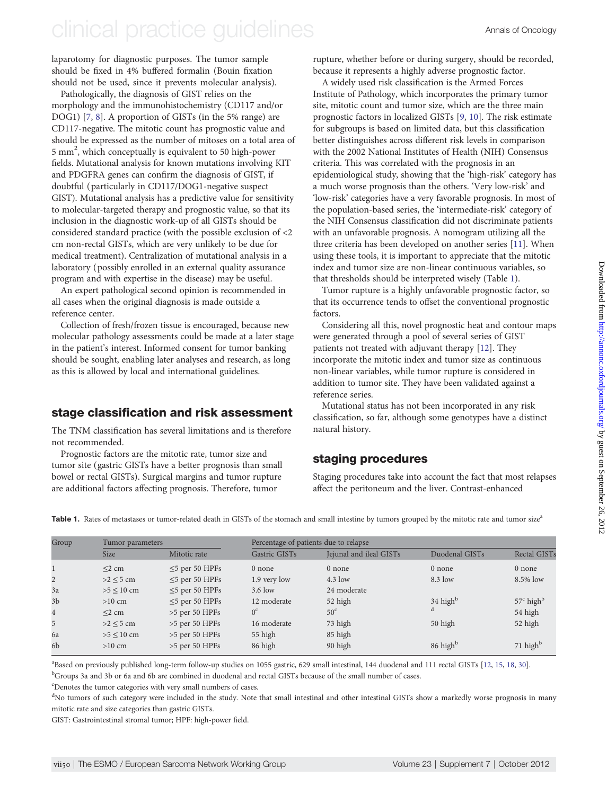## clinical practice guidelines and annus of Oncology

laparotomy for diagnostic purposes. The tumor sample should be fixed in 4% buffered formalin (Bouin fixation should not be used, since it prevents molecular analysis).

Pathologically, the diagnosis of GIST relies on the morphology and the immunohistochemistry (CD117 and/or DOG1) [[7](#page-5-0), [8\]](#page-5-0). A proportion of GISTs (in the 5% range) are CD117-negative. The mitotic count has prognostic value and should be expressed as the number of mitoses on a total area of 5 mm<sup>2</sup>, which conceptually is equivalent to 50 high-power fields. Mutational analysis for known mutations involving KIT and PDGFRA genes can confirm the diagnosis of GIST, if doubtful ( particularly in CD117/DOG1-negative suspect GIST). Mutational analysis has a predictive value for sensitivity to molecular-targeted therapy and prognostic value, so that its inclusion in the diagnostic work-up of all GISTs should be considered standard practice (with the possible exclusion of <2 cm non-rectal GISTs, which are very unlikely to be due for medical treatment). Centralization of mutational analysis in a laboratory ( possibly enrolled in an external quality assurance program and with expertise in the disease) may be useful.

An expert pathological second opinion is recommended in all cases when the original diagnosis is made outside a reference center.

Collection of fresh/frozen tissue is encouraged, because new molecular pathology assessments could be made at a later stage in the patient's interest. Informed consent for tumor banking should be sought, enabling later analyses and research, as long as this is allowed by local and international guidelines.

### stage classification and risk assessment

The TNM classification has several limitations and is therefore not recommended.

Prognostic factors are the mitotic rate, tumor size and tumor site (gastric GISTs have a better prognosis than small bowel or rectal GISTs). Surgical margins and tumor rupture are additional factors affecting prognosis. Therefore, tumor

rupture, whether before or during surgery, should be recorded, because it represents a highly adverse prognostic factor.

A widely used risk classification is the Armed Forces Institute of Pathology, which incorporates the primary tumor site, mitotic count and tumor size, which are the three main prognostic factors in localized GISTs [\[9,](#page-5-0) [10\]](#page-5-0). The risk estimate for subgroups is based on limited data, but this classification better distinguishes across different risk levels in comparison with the 2002 National Institutes of Health (NIH) Consensus criteria. This was correlated with the prognosis in an epidemiological study, showing that the 'high-risk' category has a much worse prognosis than the others. 'Very low-risk' and 'low-risk' categories have a very favorable prognosis. In most of the population-based series, the 'intermediate-risk' category of the NIH Consensus classification did not discriminate patients with an unfavorable prognosis. A nomogram utilizing all the three criteria has been developed on another series [[11\]](#page-5-0). When using these tools, it is important to appreciate that the mitotic index and tumor size are non-linear continuous variables, so that thresholds should be interpreted wisely (Table 1).

Tumor rupture is a highly unfavorable prognostic factor, so that its occurrence tends to offset the conventional prognostic factors.

Considering all this, novel prognostic heat and contour maps were generated through a pool of several series of GIST patients not treated with adjuvant therapy [\[12](#page-5-0)]. They incorporate the mitotic index and tumor size as continuous non-linear variables, while tumor rupture is considered in addition to tumor site. They have been validated against a reference series.

Mutational status has not been incorporated in any risk classification, so far, although some genotypes have a distinct natural history.

### staging procedures

Staging procedures take into account the fact that most relapses affect the peritoneum and the liver. Contrast-enhanced

Table 1. Rates of metastases or tumor-related death in GISTs of the stomach and small intestine by tumors grouped by the mitotic rate and tumor size<sup>a</sup>

| Group          | Tumor parameters |                      | Percentage of patients due to relapse |                         |                        |                                |
|----------------|------------------|----------------------|---------------------------------------|-------------------------|------------------------|--------------------------------|
|                | <b>Size</b>      | Mitotic rate         | Gastric GISTs                         | Jejunal and ileal GISTs | Duodenal GISTs         | Rectal GISTs                   |
|                | $\leq$ 2 cm      | $\leq$ 5 per 50 HPFs | $0$ none                              | $0$ none                | $0$ none               | 0 none                         |
| $\overline{2}$ | $>2 \leq 5$ cm   | $\leq$ 5 per 50 HPFs | 1.9 very low                          | $4.3$ low               | 8.3 low                | 8.5% low                       |
| 3a             | $>5 \leq 10$ cm  | $\leq$ 5 per 50 HPFs | $3.6$ low                             | 24 moderate             |                        |                                |
| 3 <sub>b</sub> | $>10$ cm         | $\leq$ 5 per 50 HPFs | 12 moderate                           | 52 high                 | $34$ high <sup>b</sup> | $57^{\circ}$ high <sup>b</sup> |
| $\overline{4}$ | $<$ 2 cm         | $>5$ per 50 HPFs     | $0^{\circ}$                           | $50^{\circ}$            | d                      | 54 high                        |
| 5              | $>2 \leq 5$ cm   | $>5$ per 50 HPFs     | 16 moderate                           | 73 high                 | 50 high                | 52 high                        |
| 6a             | $>5 \leq 10$ cm  | $>5$ per 50 HPFs     | 55 high                               | 85 high                 |                        |                                |
| 6 <sub>b</sub> | $>10$ cm         | $>5$ per 50 HPFs     | 86 high                               | 90 high                 | 86 high <sup>b</sup>   | 71 $highb$                     |

a Based on previously published long-term follow-up studies on 1055 gastric, 629 small intestinal, 144 duodenal and 111 rectal GISTs [[12](#page-5-0), [15](#page-5-0), [18,](#page-5-0) [30](#page-5-0)]. <sup>b</sup>Groups 3a and 3b or 6a and 6b are combined in duodenal and rectal GISTs because of the small number of cases.

c Denotes the tumor categories with very small numbers of cases.

<sup>d</sup>No tumors of such category were included in the study. Note that small intestinal and other intestinal GISTs show a markedly worse prognosis in many mitotic rate and size categories than gastric GISTs.

GIST: Gastrointestinal stromal tumor; HPF: high-power field.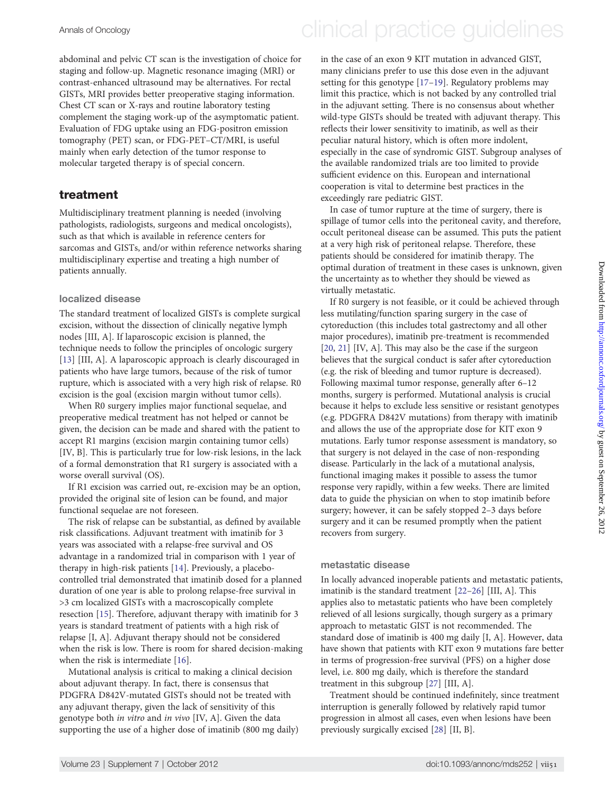abdominal and pelvic CT scan is the investigation of choice for staging and follow-up. Magnetic resonance imaging (MRI) or contrast-enhanced ultrasound may be alternatives. For rectal GISTs, MRI provides better preoperative staging information. Chest CT scan or X-rays and routine laboratory testing complement the staging work-up of the asymptomatic patient. Evaluation of FDG uptake using an FDG-positron emission tomography (PET) scan, or FDG-PET–CT/MRI, is useful mainly when early detection of the tumor response to molecular targeted therapy is of special concern.

### treatment

Multidisciplinary treatment planning is needed (involving pathologists, radiologists, surgeons and medical oncologists), such as that which is available in reference centers for sarcomas and GISTs, and/or within reference networks sharing multidisciplinary expertise and treating a high number of patients annually.

#### localized disease

The standard treatment of localized GISTs is complete surgical excision, without the dissection of clinically negative lymph nodes [III, A]. If laparoscopic excision is planned, the technique needs to follow the principles of oncologic surgery [\[13](#page-5-0)] [III, A]. A laparoscopic approach is clearly discouraged in patients who have large tumors, because of the risk of tumor rupture, which is associated with a very high risk of relapse. R0 excision is the goal (excision margin without tumor cells).

When R0 surgery implies major functional sequelae, and preoperative medical treatment has not helped or cannot be given, the decision can be made and shared with the patient to accept R1 margins (excision margin containing tumor cells) [IV, B]. This is particularly true for low-risk lesions, in the lack of a formal demonstration that R1 surgery is associated with a worse overall survival (OS).

If R1 excision was carried out, re-excision may be an option, provided the original site of lesion can be found, and major functional sequelae are not foreseen.

The risk of relapse can be substantial, as defined by available risk classifications. Adjuvant treatment with imatinib for 3 years was associated with a relapse-free survival and OS advantage in a randomized trial in comparison with 1 year of therapy in high-risk patients [\[14](#page-5-0)]. Previously, a placebocontrolled trial demonstrated that imatinib dosed for a planned duration of one year is able to prolong relapse-free survival in >3 cm localized GISTs with a macroscopically complete resection [[15\]](#page-5-0). Therefore, adjuvant therapy with imatinib for 3 years is standard treatment of patients with a high risk of relapse [I, A]. Adjuvant therapy should not be considered when the risk is low. There is room for shared decision-making when the risk is intermediate [[16](#page-5-0)].

Mutational analysis is critical to making a clinical decision about adjuvant therapy. In fact, there is consensus that PDGFRA D842V-mutated GISTs should not be treated with any adjuvant therapy, given the lack of sensitivity of this genotype both in vitro and in vivo [IV, A]. Given the data supporting the use of a higher dose of imatinib (800 mg daily)

# Annals of Oncology **Annals of Oncology** clinical practice quidelines

in the case of an exon 9 KIT mutation in advanced GIST, many clinicians prefer to use this dose even in the adjuvant setting for this genotype [\[17](#page-5-0)–[19](#page-5-0)]. Regulatory problems may limit this practice, which is not backed by any controlled trial in the adjuvant setting. There is no consensus about whether wild-type GISTs should be treated with adjuvant therapy. This reflects their lower sensitivity to imatinib, as well as their peculiar natural history, which is often more indolent, especially in the case of syndromic GIST. Subgroup analyses of the available randomized trials are too limited to provide sufficient evidence on this. European and international cooperation is vital to determine best practices in the exceedingly rare pediatric GIST.

In case of tumor rupture at the time of surgery, there is spillage of tumor cells into the peritoneal cavity, and therefore, occult peritoneal disease can be assumed. This puts the patient at a very high risk of peritoneal relapse. Therefore, these patients should be considered for imatinib therapy. The optimal duration of treatment in these cases is unknown, given the uncertainty as to whether they should be viewed as virtually metastatic.

If R0 surgery is not feasible, or it could be achieved through less mutilating/function sparing surgery in the case of cytoreduction (this includes total gastrectomy and all other major procedures), imatinib pre-treatment is recommended [\[20](#page-5-0), [21](#page-5-0)] [IV, A]. This may also be the case if the surgeon believes that the surgical conduct is safer after cytoreduction (e.g. the risk of bleeding and tumor rupture is decreased). Following maximal tumor response, generally after 6–12 months, surgery is performed. Mutational analysis is crucial because it helps to exclude less sensitive or resistant genotypes (e.g. PDGFRA D842V mutations) from therapy with imatinib and allows the use of the appropriate dose for KIT exon 9 mutations. Early tumor response assessment is mandatory, so that surgery is not delayed in the case of non-responding disease. Particularly in the lack of a mutational analysis, functional imaging makes it possible to assess the tumor response very rapidly, within a few weeks. There are limited data to guide the physician on when to stop imatinib before surgery; however, it can be safely stopped 2–3 days before surgery and it can be resumed promptly when the patient recovers from surgery.

## metastatic disease

In locally advanced inoperable patients and metastatic patients, imatinib is the standard treatment [\[22](#page-5-0)–[26](#page-5-0)] [III, A]. This applies also to metastatic patients who have been completely relieved of all lesions surgically, though surgery as a primary approach to metastatic GIST is not recommended. The standard dose of imatinib is 400 mg daily [I, A]. However, data have shown that patients with KIT exon 9 mutations fare better in terms of progression-free survival (PFS) on a higher dose level, i.e. 800 mg daily, which is therefore the standard treatment in this subgroup [[27\]](#page-5-0) [III, A].

Treatment should be continued indefinitely, since treatment interruption is generally followed by relatively rapid tumor progression in almost all cases, even when lesions have been previously surgically excised [[28\]](#page-5-0) [II, B].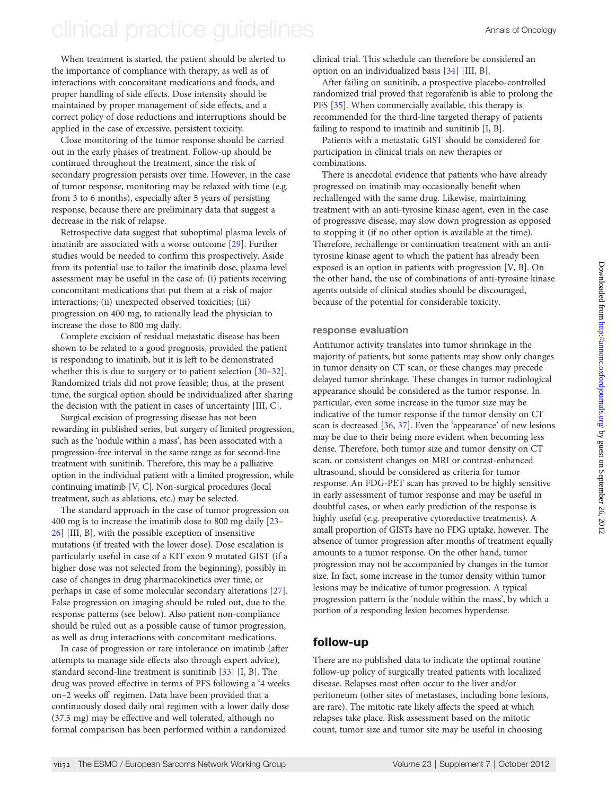## clinical practice quidelines and the second annuals of Oncology

When treatment is started, the patient should be alerted to the importance of compliance with therapy, as well as of interactions with concomitant medications and foods, and proper handling of side effects. Dose intensity should be maintained by proper management of side effects, and a correct policy of dose reductions and interruptions should be applied in the case of excessive, persistent toxicity.

Close monitoring of the tumor response should be carried out in the early phases of treatment. Follow-up should be continued throughout the treatment, since the risk of secondary progression persists over time. However, in the case of tumor response, monitoring may be relaxed with time (e.g. from 3 to 6 months), especially after 5 years of persisting response, because there are preliminary data that suggest a decrease in the risk of relapse.

Retrospective data suggest that suboptimal plasma levels of imatinib are associated with a worse outcome [\[29\]](#page-5-0). Further studies would be needed to confirm this prospectively. Aside from its potential use to tailor the imatinib dose, plasma level assessment may be useful in the case of: (i) patients receiving concomitant medications that put them at a risk of major interactions; (ii) unexpected observed toxicities; (iii) progression on 400 mg, to rationally lead the physician to increase the dose to 800 mg daily.

Complete excision of residual metastatic disease has been shown to be related to a good prognosis, provided the patient is responding to imatinib, but it is left to be demonstrated whether this is due to surgery or to patient selection [\[30](#page-5-0)–[32](#page-5-0)]. Randomized trials did not prove feasible; thus, at the present time, the surgical option should be individualized after sharing the decision with the patient in cases of uncertainty [III, C].

Surgical excision of progressing disease has not been rewarding in published series, but surgery of limited progression, such as the 'nodule within a mass', has been associated with a progression-free interval in the same range as for second-line treatment with sunitinib. Therefore, this may be a palliative option in the individual patient with a limited progression, while continuing imatinib [V, C]. Non-surgical procedures (local treatment, such as ablations, etc.) may be selected.

The standard approach in the case of tumor progression on 400 mg is to increase the imatinib dose to 800 mg daily [\[23](#page-5-0)– [26](#page-5-0)] [III, B], with the possible exception of insensitive mutations (if treated with the lower dose). Dose escalation is particularly useful in case of a KIT exon 9 mutated GIST (if a higher dose was not selected from the beginning), possibly in case of changes in drug pharmacokinetics over time, or perhaps in case of some molecular secondary alterations [[27\]](#page-5-0). False progression on imaging should be ruled out, due to the response patterns (see below). Also patient non-compliance should be ruled out as a possible cause of tumor progression, as well as drug interactions with concomitant medications.

In case of progression or rare intolerance on imatinib (after attempts to manage side effects also through expert advice), standard second-line treatment is sunitinib [[33](#page-5-0)] [I, B]. The drug was proved effective in terms of PFS following a '4 weeks on–2 weeks off' regimen. Data have been provided that a continuously dosed daily oral regimen with a lower daily dose (37.5 mg) may be effective and well tolerated, although no formal comparison has been performed within a randomized

clinical trial. This schedule can therefore be considered an option on an individualized basis [\[34](#page-6-0)] [III, B].

After failing on sunitinib, a prospective placebo-controlled randomized trial proved that regorafenib is able to prolong the PFS [[35](#page-6-0)]. When commercially available, this therapy is recommended for the third-line targeted therapy of patients failing to respond to imatinib and sunitinib [I, B].

Patients with a metastatic GIST should be considered for participation in clinical trials on new therapies or combinations.

There is anecdotal evidence that patients who have already progressed on imatinib may occasionally benefit when rechallenged with the same drug. Likewise, maintaining treatment with an anti-tyrosine kinase agent, even in the case of progressive disease, may slow down progression as opposed to stopping it (if no other option is available at the time). Therefore, rechallenge or continuation treatment with an antityrosine kinase agent to which the patient has already been exposed is an option in patients with progression [V, B]. On the other hand, the use of combinations of anti-tyrosine kinase agents outside of clinical studies should be discouraged, because of the potential for considerable toxicity.

#### response evaluation

Antitumor activity translates into tumor shrinkage in the majority of patients, but some patients may show only changes in tumor density on CT scan, or these changes may precede delayed tumor shrinkage. These changes in tumor radiological appearance should be considered as the tumor response. In particular, even some increase in the tumor size may be indicative of the tumor response if the tumor density on CT scan is decreased [[36](#page-6-0), [37\]](#page-6-0). Even the 'appearance' of new lesions may be due to their being more evident when becoming less dense. Therefore, both tumor size and tumor density on CT scan, or consistent changes on MRI or contrast-enhanced ultrasound, should be considered as criteria for tumor response. An FDG-PET scan has proved to be highly sensitive in early assessment of tumor response and may be useful in doubtful cases, or when early prediction of the response is highly useful (e.g. preoperative cytoreductive treatments). A small proportion of GISTs have no FDG uptake, however. The absence of tumor progression after months of treatment equally amounts to a tumor response. On the other hand, tumor progression may not be accompanied by changes in the tumor size. In fact, some increase in the tumor density within tumor lesions may be indicative of tumor progression. A typical progression pattern is the 'nodule within the mass', by which a portion of a responding lesion becomes hyperdense.

#### follow-up

There are no published data to indicate the optimal routine follow-up policy of surgically treated patients with localized disease. Relapses most often occur to the liver and/or peritoneum (other sites of metastases, including bone lesions, are rare). The mitotic rate likely affects the speed at which relapses take place. Risk assessment based on the mitotic count, tumor size and tumor site may be useful in choosing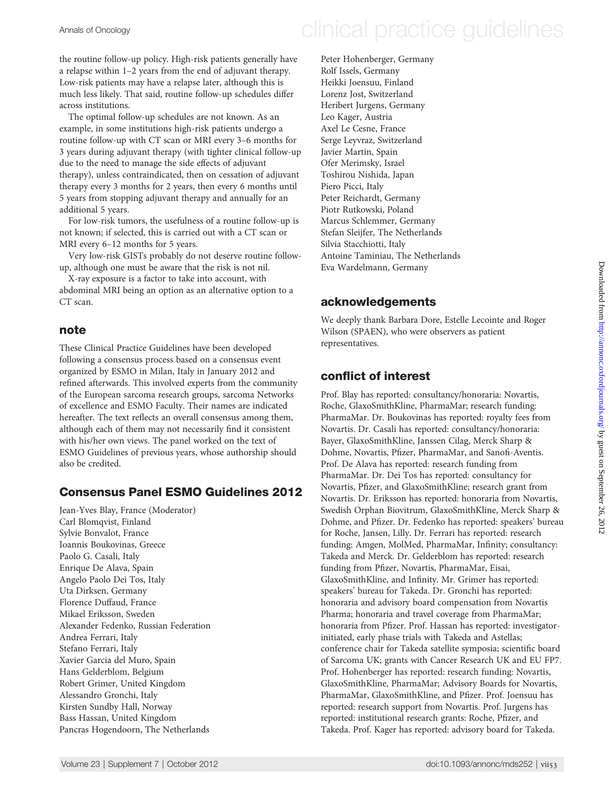# Annals of Oncology **Annals of Oncology** clinical practice quidelines

the routine follow-up policy. High-risk patients generally have a relapse within 1–2 years from the end of adjuvant therapy. Low-risk patients may have a relapse later, although this is much less likely. That said, routine follow-up schedules differ across institutions.

The optimal follow-up schedules are not known. As an example, in some institutions high-risk patients undergo a routine follow-up with CT scan or MRI every 3–6 months for 3 years during adjuvant therapy (with tighter clinical follow-up due to the need to manage the side effects of adjuvant therapy), unless contraindicated, then on cessation of adjuvant therapy every 3 months for 2 years, then every 6 months until 5 years from stopping adjuvant therapy and annually for an additional 5 years.

For low-risk tumors, the usefulness of a routine follow-up is not known; if selected, this is carried out with a CT scan or MRI every 6–12 months for 5 years.

Very low-risk GISTs probably do not deserve routine followup, although one must be aware that the risk is not nil.

X-ray exposure is a factor to take into account, with abdominal MRI being an option as an alternative option to a CT scan.

#### note

These Clinical Practice Guidelines have been developed following a consensus process based on a consensus event organized by ESMO in Milan, Italy in January 2012 and refined afterwards. This involved experts from the community of the European sarcoma research groups, sarcoma Networks of excellence and ESMO Faculty. Their names are indicated hereafter. The text reflects an overall consensus among them, although each of them may not necessarily find it consistent with his/her own views. The panel worked on the text of ESMO Guidelines of previous years, whose authorship should also be credited.

## Consensus Panel ESMO Guidelines 2012

Jean-Yves Blay, France (Moderator) Carl Blomqvist, Finland Sylvie Bonvalot, France Ioannis Boukovinas, Greece Paolo G. Casali, Italy Enrique De Alava, Spain Angelo Paolo Dei Tos, Italy Uta Dirksen, Germany Florence Duffaud, France Mikael Eriksson, Sweden Alexander Fedenko, Russian Federation Andrea Ferrari, Italy Stefano Ferrari, Italy Xavier Garcia del Muro, Spain Hans Gelderblom, Belgium Robert Grimer, United Kingdom Alessandro Gronchi, Italy Kirsten Sundby Hall, Norway Bass Hassan, United Kingdom Pancras Hogendoorn, The Netherlands

Peter Hohenberger, Germany Rolf Issels, Germany Heikki Joensuu, Finland Lorenz Jost, Switzerland Heribert Jurgens, Germany Leo Kager, Austria Axel Le Cesne, France Serge Leyvraz, Switzerland Javier Martin, Spain Ofer Merimsky, Israel Toshirou Nishida, Japan Piero Picci, Italy Peter Reichardt, Germany Piotr Rutkowski, Poland Marcus Schlemmer, Germany Stefan Sleijfer, The Netherlands Silvia Stacchiotti, Italy Antoine Taminiau, The Netherlands Eva Wardelmann, Germany

## acknowledgements

We deeply thank Barbara Dore, Estelle Lecointe and Roger Wilson (SPAEN), who were observers as patient representatives.

## conflict of interest

Prof. Blay has reported: consultancy/honoraria: Novartis, Roche, GlaxoSmithKline, PharmaMar; research funding: PharmaMar. Dr. Boukovinas has reported: royalty fees from Novartis. Dr. Casali has reported: consultancy/honoraria: Bayer, GlaxoSmithKline, Janssen Cilag, Merck Sharp & Dohme, Novartis, Pfizer, PharmaMar, and Sanofi-Aventis. Prof. De Alava has reported: research funding from PharmaMar. Dr. Dei Tos has reported: consultancy for Novartis, Pfizer, and GlaxoSmithKline; research grant from Novartis. Dr. Eriksson has reported: honoraria from Novartis, Swedish Orphan Biovitrum, GlaxoSmithKline, Merck Sharp & Dohme, and Pfizer. Dr. Fedenko has reported: speakers' bureau for Roche, Jansen, Lilly. Dr. Ferrari has reported: research funding: Amgen, MolMed, PharmaMar, Infinity; consultancy: Takeda and Merck. Dr. Gelderblom has reported: research funding from Pfizer, Novartis, PharmaMar, Eisai, GlaxoSmithKline, and Infinity. Mr. Grimer has reported: speakers' bureau for Takeda. Dr. Gronchi has reported: honoraria and advisory board compensation from Novartis Pharma; honoraria and travel coverage from PharmaMar; honoraria from Pfizer. Prof. Hassan has reported: investigatorinitiated, early phase trials with Takeda and Astellas; conference chair for Takeda satellite symposia; scientific board of Sarcoma UK; grants with Cancer Research UK and EU FP7. Prof. Hohenberger has reported: research funding: Novartis, GlaxoSmithKline, PharmaMar; Advisory Boards for Novartis, PharmaMar, GlaxoSmithKline, and Pfizer. Prof. Joensuu has reported: research support from Novartis. Prof. Jurgens has reported: institutional research grants: Roche, Pfizer, and Takeda. Prof. Kager has reported: advisory board for Takeda.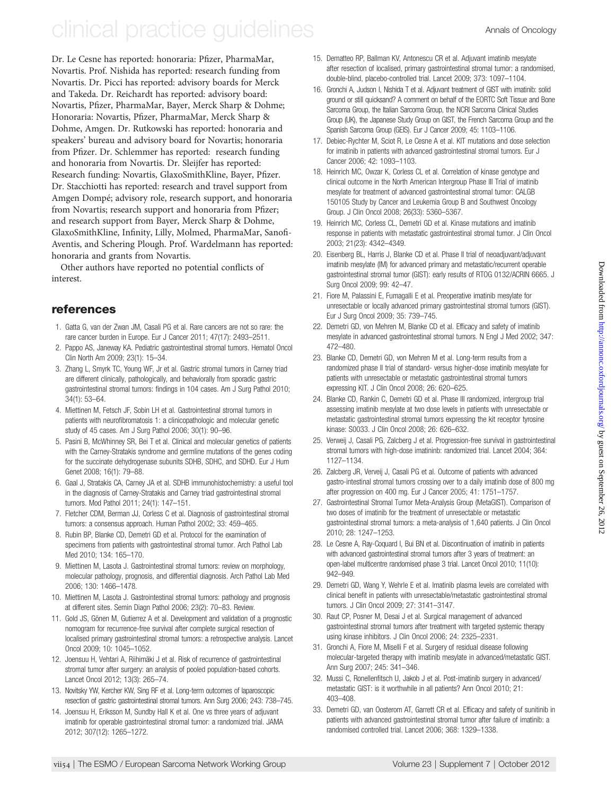# <span id="page-5-0"></span>clinical practice quidelines **Annals of Oncology**

Dr. Le Cesne has reported: honoraria: Pfizer, PharmaMar, Novartis. Prof. Nishida has reported: research funding from Novartis. Dr. Picci has reported: advisory boards for Merck and Takeda. Dr. Reichardt has reported: advisory board: Novartis, Pfizer, PharmaMar, Bayer, Merck Sharp & Dohme; Honoraria: Novartis, Pfizer, PharmaMar, Merck Sharp & Dohme, Amgen. Dr. Rutkowski has reported: honoraria and speakers' bureau and advisory board for Novartis; honoraria from Pfizer. Dr. Schlemmer has reported: research funding and honoraria from Novartis. Dr. Sleijfer has reported: Research funding: Novartis, GlaxoSmithKline, Bayer, Pfizer. Dr. Stacchiotti has reported: research and travel support from Amgen Dompé; advisory role, research support, and honoraria from Novartis; research support and honoraria from Pfizer; and research support from Bayer, Merck Sharp & Dohme, GlaxoSmithKline, Infinity, Lilly, Molmed, PharmaMar, Sanofi-Aventis, and Schering Plough. Prof. Wardelmann has reported: honoraria and grants from Novartis.

Other authors have reported no potential conflicts of interest.

## references

- 1. Gatta G, van der Zwan JM, Casali PG et al. Rare cancers are not so rare: the rare cancer burden in Europe. Eur J Cancer 2011; 47(17): 2493–2511.
- 2. Pappo AS, Janeway KA. Pediatric gastrointestinal stromal tumors. Hematol Oncol Clin North Am 2009; 23(1): 15–34.
- 3. Zhang L, Smyrk TC, Young WF, Jr et al. Gastric stromal tumors in Carney triad are different clinically, pathologically, and behaviorally from sporadic gastric gastrointestinal stromal tumors: findings in 104 cases. Am J Surg Pathol 2010; 34(1): 53–64.
- 4. Miettinen M, Fetsch JF, Sobin LH et al. Gastrointestinal stromal tumors in patients with neurofibromatosis 1: a clinicopathologic and molecular genetic study of 45 cases. Am J Surg Pathol 2006; 30(1): 90–96.
- 5. Pasini B, McWhinney SR, Bei T et al. Clinical and molecular genetics of patients with the Carney-Stratakis syndrome and germline mutations of the genes coding for the succinate dehydrogenase subunits SDHB, SDHC, and SDHD. Eur J Hum Genet 2008; 16(1): 79–88.
- 6. Gaal J, Stratakis CA, Carney JA et al. SDHB immunohistochemistry: a useful tool in the diagnosis of Carney-Stratakis and Carney triad gastrointestinal stromal tumors. Mod Pathol 2011; 24(1): 147–151.
- 7. Fletcher CDM, Berman JJ, Corless C et al. Diagnosis of gastrointestinal stromal tumors: a consensus approach. Human Pathol 2002; 33: 459–465.
- 8. Rubin BP, Blanke CD, Demetri GD et al. Protocol for the examination of specimens from patients with gastrointestinal stromal tumor. Arch Pathol Lab Med 2010; 134: 165–170.
- 9. Miettinen M, Lasota J. Gastrointestinal stromal tumors: review on morphology, molecular pathology, prognosis, and differential diagnosis. Arch Pathol Lab Med 2006; 130: 1466–1478.
- 10. Miettinen M, Lasota J. Gastrointestinal stromal tumors: pathology and prognosis at different sites. Semin Diagn Pathol 2006; 23(2): 70–83. Review.
- 11. Gold JS, Gönen M, Gutierrez A et al. Development and validation of a prognostic nomogram for recurrence-free survival after complete surgical resection of localised primary gastrointestinal stromal tumors: a retrospective analysis. Lancet Oncol 2009; 10: 1045–1052.
- 12. Joensuu H, Vehtari A, Riihimäki J et al. Risk of recurrence of gastrointestinal stromal tumor after surgery: an analysis of pooled population-based cohorts. Lancet Oncol 2012; 13(3): 265–74.
- 13. Novitsky YW, Kercher KW, Sing RF et al. Long-term outcomes of laparoscopic resection of gastric gastrointestinal stromal tumors. Ann Surg 2006; 243: 738–745.
- 14. Joensuu H, Eriksson M, Sundby Hall K et al. One vs three years of adjuvant imatinib for operable gastrointestinal stromal tumor: a randomized trial. JAMA 2012; 307(12): 1265–1272.
- 15. Dematteo RP, Ballman KV, Antonescu CR et al. Adjuvant imatinib mesylate after resection of localised, primary gastrointestinal stromal tumor: a randomised, double-blind, placebo-controlled trial. Lancet 2009; 373: 1097–1104.
- 16. Gronchi A, Judson I, Nishida T et al. Adjuvant treatment of GIST with imatinib: solid ground or still quicksand? A comment on behalf of the EORTC Soft Tissue and Bone Sarcoma Group, the Italian Sarcoma Group, the NCRI Sarcoma Clinical Studies Group (UK), the Japanese Study Group on GIST, the French Sarcoma Group and the Spanish Sarcoma Group (GEIS). Eur J Cancer 2009; 45: 1103–1106.
- 17. Debiec-Rychter M, Sciot R, Le Cesne A et al. KIT mutations and dose selection for imatinib in patients with advanced gastrointestinal stromal tumors. Eur J Cancer 2006; 42: 1093–1103.
- 18. Heinrich MC, Owzar K, Corless CL et al. Correlation of kinase genotype and clinical outcome in the North American Intergroup Phase III Trial of imatinib mesylate for treatment of advanced gastrointestinal stromal tumor: CALGB 150105 Study by Cancer and Leukemia Group B and Southwest Oncology Group. J Clin Oncol 2008; 26(33): 5360–5367.
- 19. Heinrich MC, Corless CL, Demetri GD et al. Kinase mutations and imatinib response in patients with metastatic gastrointestinal stromal tumor. J Clin Oncol 2003; 21(23): 4342–4349.
- 20. Eisenberg BL, Harris J, Blanke CD et al. Phase II trial of neoadjuvant/adjuvant imatinib mesylate (IM) for advanced primary and metastatic/recurrent operable gastrointestinal stromal tumor (GIST): early results of RTOG 0132/ACRIN 6665. J Surg Oncol 2009; 99: 42–47.
- 21. Fiore M, Palassini E, Fumagalli E et al. Preoperative imatinib mesylate for unresectable or locally advanced primary gastrointestinal stromal tumors (GIST). Eur J Surg Oncol 2009; 35: 739–745.
- 22. Demetri GD, von Mehren M, Blanke CD et al. Efficacy and safety of imatinib mesylate in advanced gastrointestinal stromal tumors. N Engl J Med 2002; 347: 472–480.
- 23. Blanke CD, Demetri GD, von Mehren M et al. Long-term results from a randomized phase II trial of standard- versus higher-dose imatinib mesylate for patients with unresectable or metastatic gastrointestinal stromal tumors expressing KIT. J Clin Oncol 2008; 26: 620–625.
- 24. Blanke CD, Rankin C, Demetri GD et al. Phase III randomized, intergroup trial assessing imatinib mesylate at two dose levels in patients with unresectable or metastatic gastrointestinal stromal tumors expressing the kit receptor tyrosine kinase: S0033. J Clin Oncol 2008; 26: 626–632.
- 25. Verweij J, Casali PG, Zalcberg J et al. Progression-free survival in gastrointestinal stromal tumors with high-dose imatininb: randomized trial. Lancet 2004; 364: 1127–1134.
- 26. Zalcberg JR, Verveij J, Casali PG et al. Outcome of patients with advanced gastro-intestinal stromal tumors crossing over to a daily imatinib dose of 800 mg after progression on 400 mg. Eur J Cancer 2005; 41: 1751–1757.
- 27. Gastrointestinal Stromal Tumor Meta-Analysis Group (MetaGIST). Comparison of two doses of imatinib for the treatment of unresectable or metastatic gastrointestinal stromal tumors: a meta-analysis of 1,640 patients. J Clin Oncol 2010; 28: 1247–1253.
- 28. Le Cesne A, Ray-Coquard I, Bui BN et al. Discontinuation of imatinib in patients with advanced gastrointestinal stromal tumors after 3 years of treatment: an open-label multicentre randomised phase 3 trial. Lancet Oncol 2010; 11(10): 942–949.
- 29. Demetri GD, Wang Y, Wehrle E et al. Imatinib plasma levels are correlated with clinical benefit in patients with unresectable/metastatic gastrointestinal stromal tumors. J Clin Oncol 2009; 27: 3141–3147.
- 30. Raut CP, Posner M, Desai J et al. Surgical management of advanced gastrointestinal stromal tumors after treatment with targeted systemic therapy using kinase inhibitors. J Clin Oncol 2006; 24: 2325–2331.
- 31. Gronchi A, Fiore M, Miselli F et al. Surgery of residual disease following molecular-targeted therapy with imatinib mesylate in advanced/metastatic GIST. Ann Surg 2007; 245: 341–346.
- 32. Mussi C, Ronellenfitsch U, Jakob J et al. Post-imatinib surgery in advanced/ metastatic GIST: is it worthwhile in all patients? Ann Oncol 2010; 21: 403–408.
- 33. Demetri GD, van Oosterom AT, Garrett CR et al. Efficacy and safety of sunitinib in patients with advanced gastrointestinal stromal tumor after failure of imatinib: a randomised controlled trial. Lancet 2006; 368: 1329–1338.